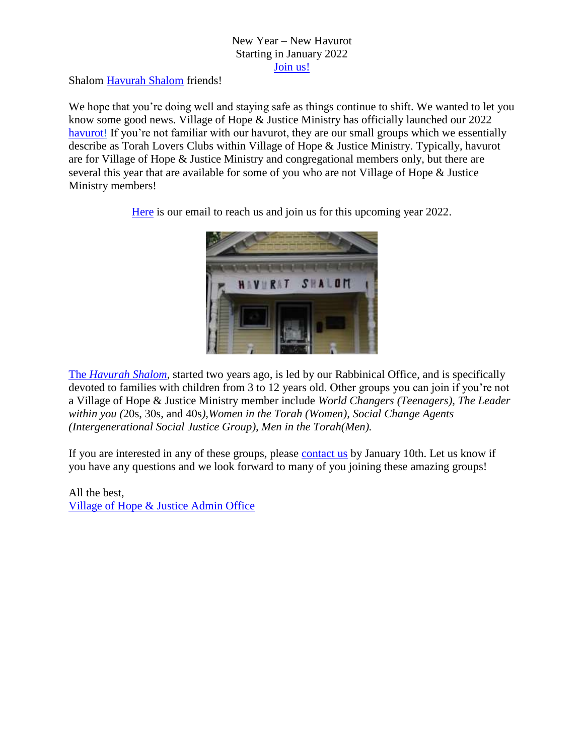## New Year – New Havurot Starting in January 2022 [Join us!](mailto:vohjm2013@gmail.com)

Shalom [Havurah Shalom](https://villageofhopejusticeministry.files.wordpress.com/2020/10/havurah-shalom-our-mobile-succah-on-the-road-again-on-succot.pdf) friends!

We hope that you're doing well and staying safe as things continue to shift. We wanted to let you know some good news. Village of Hope & Justice Ministry has officially launched our 2022 [havurot!](mailto:vohjm2013@gmail.com) If you're not familiar with our havurot, they are our small groups which we essentially describe as Torah Lovers Clubs within Village of Hope & Justice Ministry. Typically, havurot are for Village of Hope & Justice Ministry and congregational members only, but there are several this year that are available for some of you who are not Village of Hope & Justice Ministry members!

[Here](mailto:vohjm2013@gmail.com) is our email to reach us and join us for this upcoming year 2022.



The *Havurah Shalom*, started two years ago, is led by our Rabbinical Office, and is specifically devoted to families with children from 3 to 12 years old. Other groups you can join if you're not a Village of Hope & Justice Ministry member include *World Changers (Teenagers), The Leader within you (*20s, 30s, and 40s*),Women in the Torah (Women), Social Change Agents (Intergenerational Social Justice Group), Men in the Torah(Men).*

If you are interested in any of these groups, please [contact us](mailto:vohjm2013@gmail.com) by January 10th. Let us know if you have any questions and we look forward to many of you joining these amazing groups!

All the best, [Village of Hope & Justice Admin Office](https://villageofhopejusticeministry.org/about/)